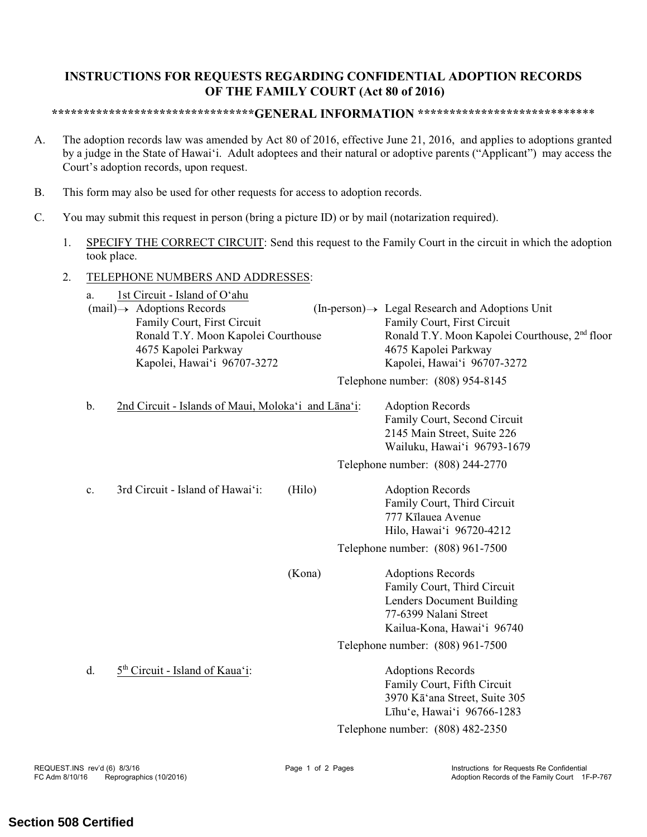## **INSTRUCTIONS FOR REQUESTS REGARDING CONFIDENTIAL ADOPTION RECORDS OF THE FAMILY COURT (Act 80 of 2016)**

## **\*\*\*\*\*\*\*\*\*\*\*\*\*\*\*\*\*\*\*\*\*\*\*\*\*\*\*\*\*\*\*\*GENERAL INFORMATION \*\*\*\*\*\*\*\*\*\*\*\*\*\*\*\*\*\*\*\*\***\*\*\*\*\*\*\*

- A. The adoption records law was amended by Act 80 of 2016, effective June 21, 2016, and applies to adoptions granted by a judge in the State of Hawai'i. Adult adoptees and their natural or adoptive parents ("Applicant") may access the Court's adoption records, upon request.
- B. This form may also be used for other requests for access to adoption records.
- C. You may submit this request in person (bring a picture ID) or by mail (notarization required).
	- 1. SPECIFY THE CORRECT CIRCUIT: Send this request to the Family Court in the circuit in which the adoption took place.
	- 2. TELEPHONE NUMBERS AND ADDRESSES:

| a.                                     | 1st Circuit - Island of O'ahu                       |                                  |                                                            |                                                             |
|----------------------------------------|-----------------------------------------------------|----------------------------------|------------------------------------------------------------|-------------------------------------------------------------|
| $(mail) \rightarrow$ Adoptions Records |                                                     |                                  |                                                            | $(In-person) \rightarrow Legal Research and Adoptions Unit$ |
|                                        | Family Court, First Circuit                         |                                  |                                                            | Family Court, First Circuit                                 |
| Ronald T.Y. Moon Kapolei Courthouse    |                                                     |                                  | Ronald T.Y. Moon Kapolei Courthouse, 2 <sup>nd</sup> floor |                                                             |
| 4675 Kapolei Parkway                   |                                                     |                                  |                                                            | 4675 Kapolei Parkway                                        |
| Kapolei, Hawai'i 96707-3272            |                                                     |                                  | Kapolei, Hawai'i 96707-3272                                |                                                             |
|                                        |                                                     | Telephone number: (808) 954-8145 |                                                            |                                                             |
| b.                                     | 2nd Circuit - Islands of Maui, Moloka'i and Lāna'i: |                                  |                                                            | <b>Adoption Records</b>                                     |
|                                        |                                                     |                                  |                                                            | Family Court, Second Circuit                                |
|                                        |                                                     |                                  |                                                            | 2145 Main Street, Suite 226                                 |
|                                        |                                                     |                                  |                                                            | Wailuku, Hawai'i 96793-1679                                 |
|                                        |                                                     |                                  | Telephone number: (808) 244-2770                           |                                                             |
| $\mathbf{c}$ .                         | 3rd Circuit - Island of Hawai'i:                    | (Hilo)                           |                                                            | <b>Adoption Records</b>                                     |
|                                        |                                                     |                                  |                                                            | Family Court, Third Circuit                                 |
|                                        |                                                     |                                  |                                                            | 777 Kīlauea Avenue                                          |
|                                        |                                                     |                                  |                                                            | Hilo, Hawai'i 96720-4212                                    |
|                                        |                                                     |                                  | Telephone number: (808) 961-7500                           |                                                             |
|                                        |                                                     | (Kona)                           |                                                            | <b>Adoptions Records</b>                                    |
|                                        |                                                     |                                  |                                                            | Family Court, Third Circuit                                 |
|                                        |                                                     |                                  |                                                            | Lenders Document Building                                   |
|                                        |                                                     |                                  |                                                            | 77-6399 Nalani Street                                       |
|                                        |                                                     |                                  |                                                            | Kailua-Kona, Hawai'i 96740                                  |
|                                        |                                                     |                                  |                                                            | Telephone number: (808) 961-7500                            |
|                                        |                                                     |                                  |                                                            |                                                             |
| d.                                     | 5 <sup>th</sup> Circuit - Island of Kaua'i:         |                                  |                                                            | <b>Adoptions Records</b>                                    |
|                                        |                                                     |                                  |                                                            | Family Court, Fifth Circuit                                 |
|                                        |                                                     |                                  |                                                            | 3970 Kā'ana Street, Suite 305                               |
|                                        |                                                     |                                  |                                                            | Līhu'e, Hawai'i 96766-1283                                  |
|                                        |                                                     |                                  |                                                            | Telephone number: (808) 482-2350                            |
|                                        |                                                     |                                  |                                                            |                                                             |

## **Section 508 Certified**